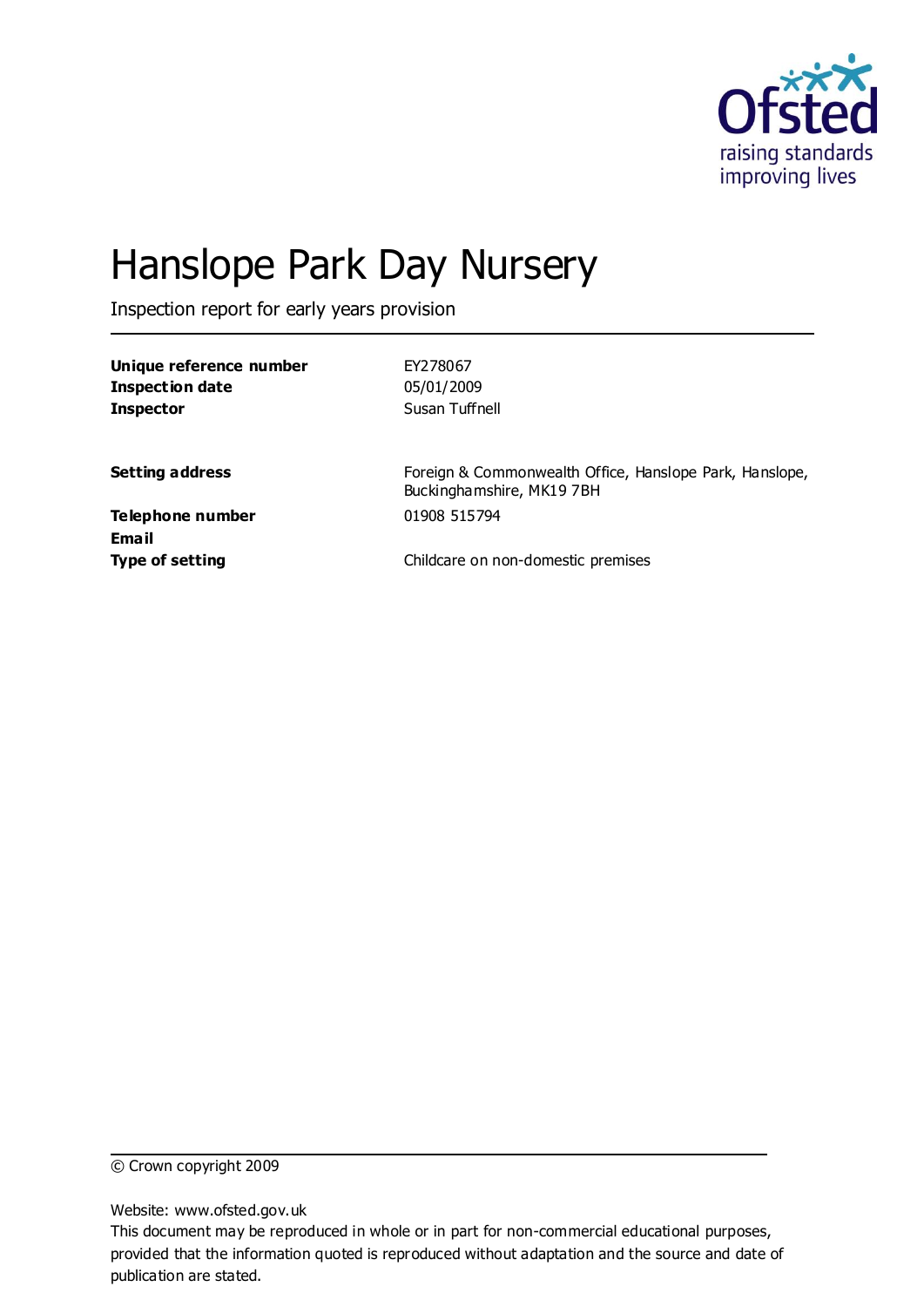

# Hanslope Park Day Nursery

Inspection report for early years provision

| Unique reference number<br><b>Inspection date</b><br><b>Inspector</b> | EY278067<br>05/01/2009<br>Susan Tuffnell                                             |
|-----------------------------------------------------------------------|--------------------------------------------------------------------------------------|
| <b>Setting address</b>                                                | Foreign & Commonwealth Office, Hanslope Park, Hanslope,<br>Buckinghamshire, MK19 7BH |
| Telephone number<br><b>Email</b>                                      | 01908 515794                                                                         |
| <b>Type of setting</b>                                                | Childcare on non-domestic premises                                                   |

© Crown copyright 2009

Website: www.ofsted.gov.uk

This document may be reproduced in whole or in part for non-commercial educational purposes, provided that the information quoted is reproduced without adaptation and the source and date of publication are stated.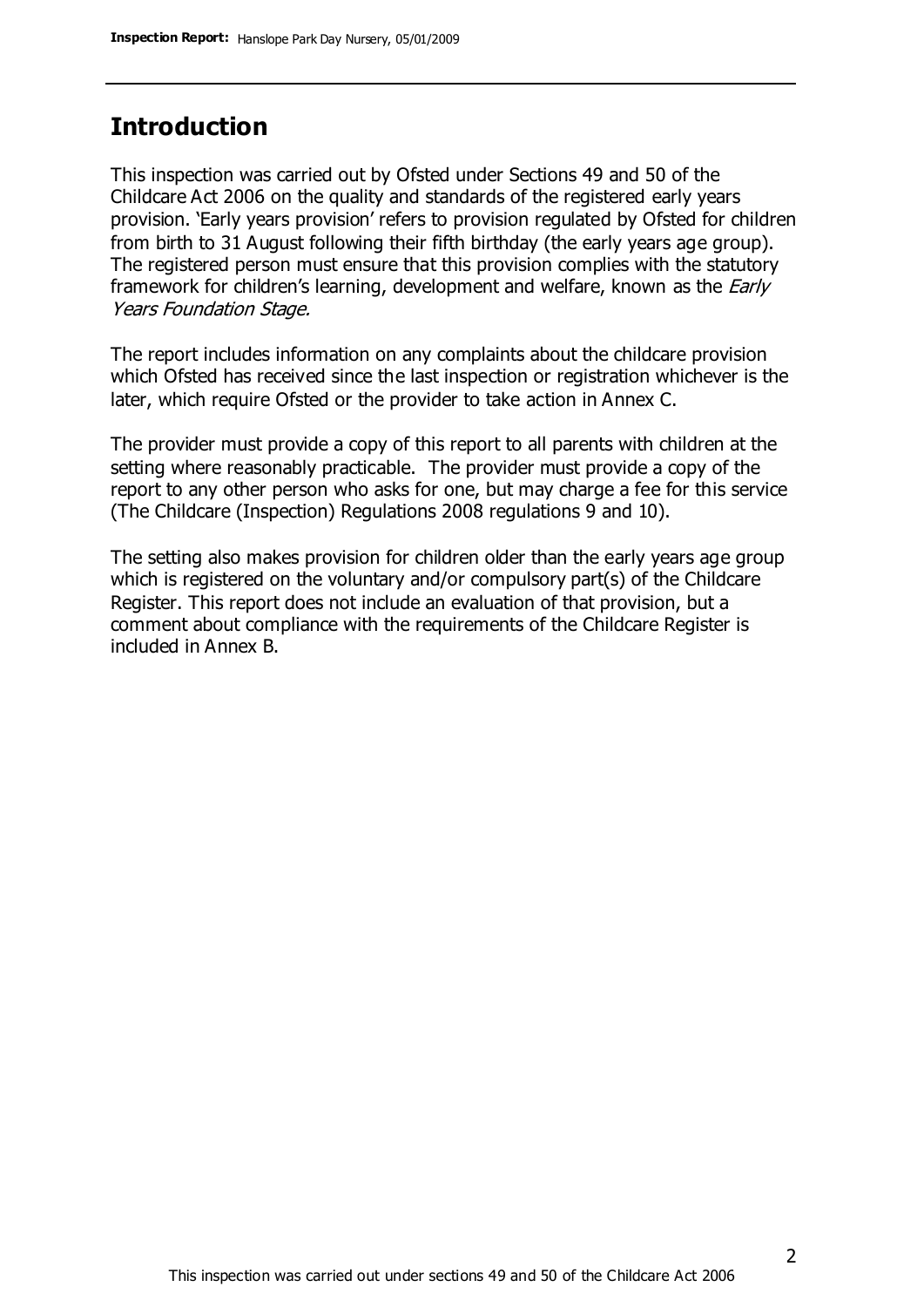### **Introduction**

This inspection was carried out by Ofsted under Sections 49 and 50 of the Childcare Act 2006 on the quality and standards of the registered early years provision. 'Early years provision' refers to provision regulated by Ofsted for children from birth to 31 August following their fifth birthday (the early years age group). The registered person must ensure that this provision complies with the statutory framework for children's learning, development and welfare, known as the *Early* Years Foundation Stage.

The report includes information on any complaints about the childcare provision which Ofsted has received since the last inspection or registration whichever is the later, which require Ofsted or the provider to take action in Annex C.

The provider must provide a copy of this report to all parents with children at the setting where reasonably practicable. The provider must provide a copy of the report to any other person who asks for one, but may charge a fee for this service (The Childcare (Inspection) Regulations 2008 regulations 9 and 10).

The setting also makes provision for children older than the early years age group which is registered on the voluntary and/or compulsory part(s) of the Childcare Register. This report does not include an evaluation of that provision, but a comment about compliance with the requirements of the Childcare Register is included in Annex B.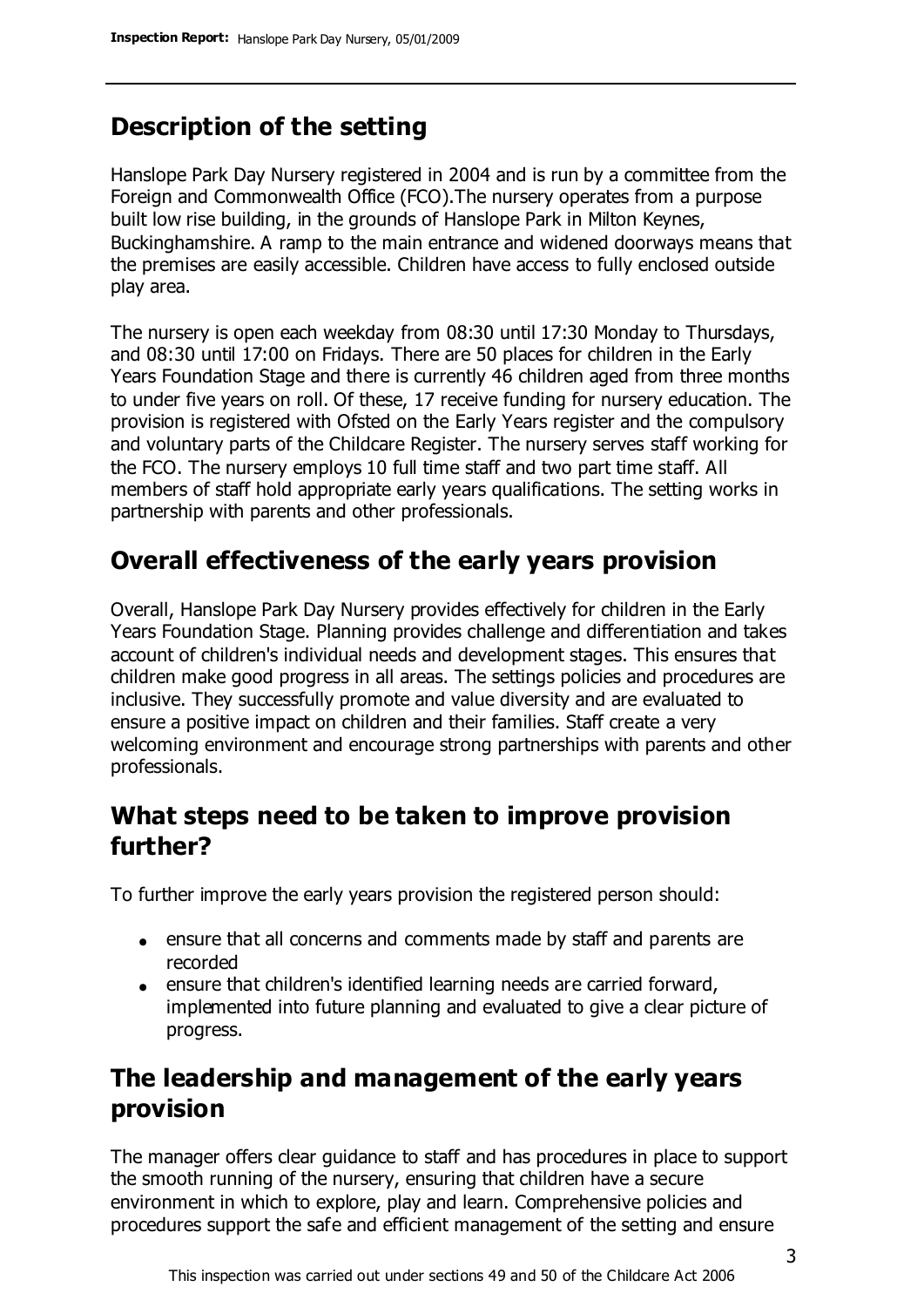## **Description of the setting**

Hanslope Park Day Nursery registered in 2004 and is run by a committee from the Foreign and Commonwealth Office (FCO).The nursery operates from a purpose built low rise building, in the grounds of Hanslope Park in Milton Keynes, Buckinghamshire. A ramp to the main entrance and widened doorways means that the premises are easily accessible. Children have access to fully enclosed outside play area.

The nursery is open each weekday from 08:30 until 17:30 Monday to Thursdays, and 08:30 until 17:00 on Fridays. There are 50 places for children in the Early Years Foundation Stage and there is currently 46 children aged from three months to under five years on roll. Of these, 17 receive funding for nursery education. The provision is registered with Ofsted on the Early Years register and the compulsory and voluntary parts of the Childcare Register. The nursery serves staff working for the FCO. The nursery employs 10 full time staff and two part time staff. All members of staff hold appropriate early years qualifications. The setting works in partnership with parents and other professionals.

### **Overall effectiveness of the early years provision**

Overall, Hanslope Park Day Nursery provides effectively for children in the Early Years Foundation Stage. Planning provides challenge and differentiation and takes account of children's individual needs and development stages. This ensures that children make good progress in all areas. The settings policies and procedures are inclusive. They successfully promote and value diversity and are evaluated to ensure a positive impact on children and their families. Staff create a very welcoming environment and encourage strong partnerships with parents and other professionals.

### **What steps need to be taken to improve provision further?**

To further improve the early years provision the registered person should:

- ensure that all concerns and comments made by staff and parents are recorded
- ensure that children's identified learning needs are carried forward, implemented into future planning and evaluated to give a clear picture of progress.

### **The leadership and management of the early years provision**

The manager offers clear guidance to staff and has procedures in place to support the smooth running of the nursery, ensuring that children have a secure environment in which to explore, play and learn. Comprehensive policies and procedures support the safe and efficient management of the setting and ensure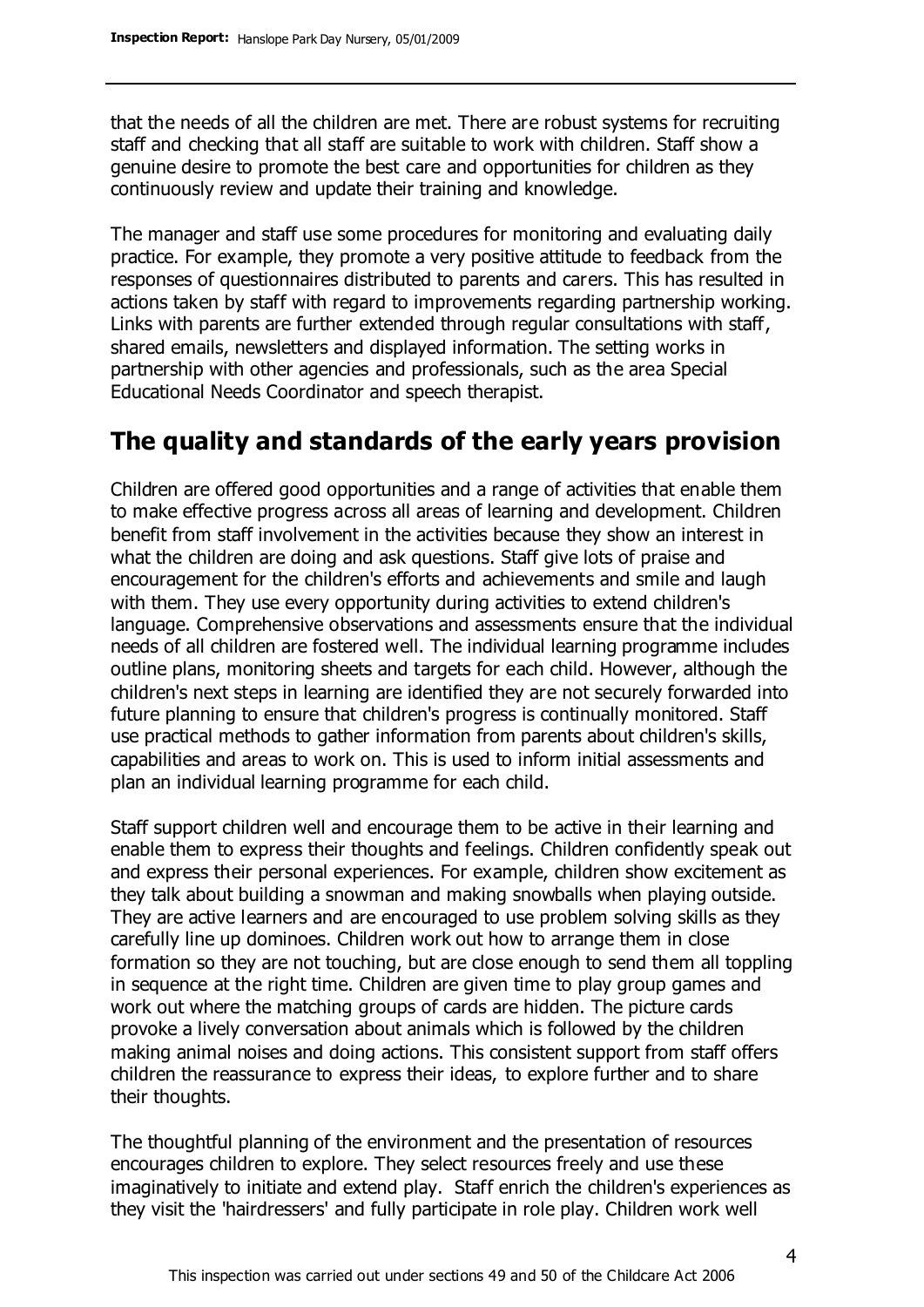that the needs of all the children are met. There are robust systems for recruiting staff and checking that all staff are suitable to work with children. Staff show a genuine desire to promote the best care and opportunities for children as they continuously review and update their training and knowledge.

The manager and staff use some procedures for monitoring and evaluating daily practice. For example, they promote a very positive attitude to feedback from the responses of questionnaires distributed to parents and carers. This has resulted in actions taken by staff with regard to improvements regarding partnership working. Links with parents are further extended through regular consultations with staff, shared emails, newsletters and displayed information. The setting works in partnership with other agencies and professionals, such as the area Special Educational Needs Coordinator and speech therapist.

### **The quality and standards of the early years provision**

Children are offered good opportunities and a range of activities that enable them to make effective progress across all areas of learning and development. Children benefit from staff involvement in the activities because they show an interest in what the children are doing and ask questions. Staff give lots of praise and encouragement for the children's efforts and achievements and smile and laugh with them. They use every opportunity during activities to extend children's language. Comprehensive observations and assessments ensure that the individual needs of all children are fostered well. The individual learning programme includes outline plans, monitoring sheets and targets for each child. However, although the children's next steps in learning are identified they are not securely forwarded into future planning to ensure that children's progress is continually monitored. Staff use practical methods to gather information from parents about children's skills, capabilities and areas to work on. This is used to inform initial assessments and plan an individual learning programme for each child.

Staff support children well and encourage them to be active in their learning and enable them to express their thoughts and feelings. Children confidently speak out and express their personal experiences. For example, children show excitement as they talk about building a snowman and making snowballs when playing outside. They are active learners and are encouraged to use problem solving skills as they carefully line up dominoes. Children work out how to arrange them in close formation so they are not touching, but are close enough to send them all toppling in sequence at the right time. Children are given time to play group games and work out where the matching groups of cards are hidden. The picture cards provoke a lively conversation about animals which is followed by the children making animal noises and doing actions. This consistent support from staff offers children the reassurance to express their ideas, to explore further and to share their thoughts.

The thoughtful planning of the environment and the presentation of resources encourages children to explore. They select resources freely and use these imaginatively to initiate and extend play. Staff enrich the children's experiences as they visit the 'hairdressers' and fully participate in role play. Children work well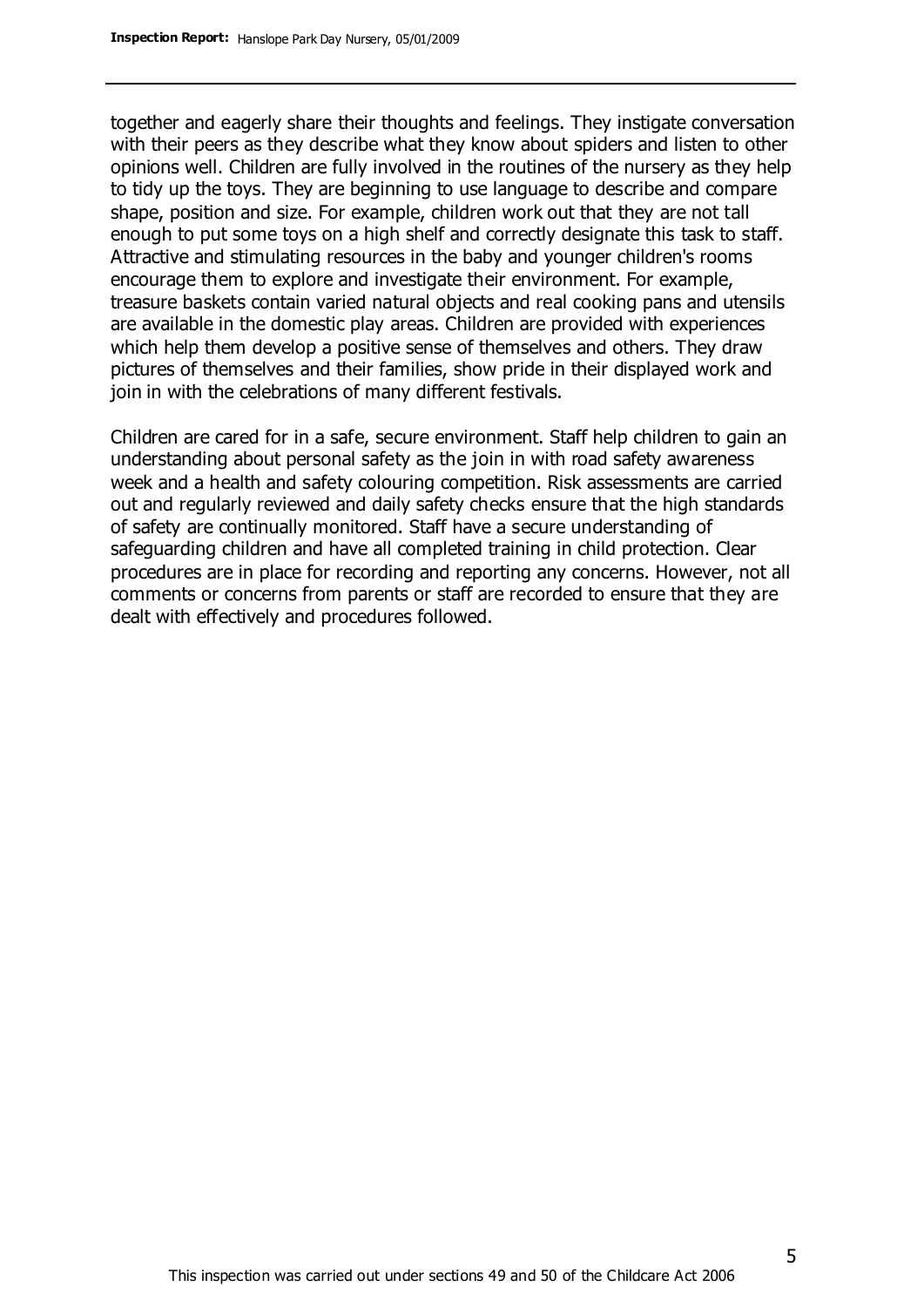together and eagerly share their thoughts and feelings. They instigate conversation with their peers as they describe what they know about spiders and listen to other opinions well. Children are fully involved in the routines of the nursery as they help to tidy up the toys. They are beginning to use language to describe and compare shape, position and size. For example, children work out that they are not tall enough to put some toys on a high shelf and correctly designate this task to staff. Attractive and stimulating resources in the baby and younger children's rooms encourage them to explore and investigate their environment. For example, treasure baskets contain varied natural objects and real cooking pans and utensils are available in the domestic play areas. Children are provided with experiences which help them develop a positive sense of themselves and others. They draw pictures of themselves and their families, show pride in their displayed work and join in with the celebrations of many different festivals.

Children are cared for in a safe, secure environment. Staff help children to gain an understanding about personal safety as the join in with road safety awareness week and a health and safety colouring competition. Risk assessments are carried out and regularly reviewed and daily safety checks ensure that the high standards of safety are continually monitored. Staff have a secure understanding of safeguarding children and have all completed training in child protection. Clear procedures are in place for recording and reporting any concerns. However, not all comments or concerns from parents or staff are recorded to ensure that they are dealt with effectively and procedures followed.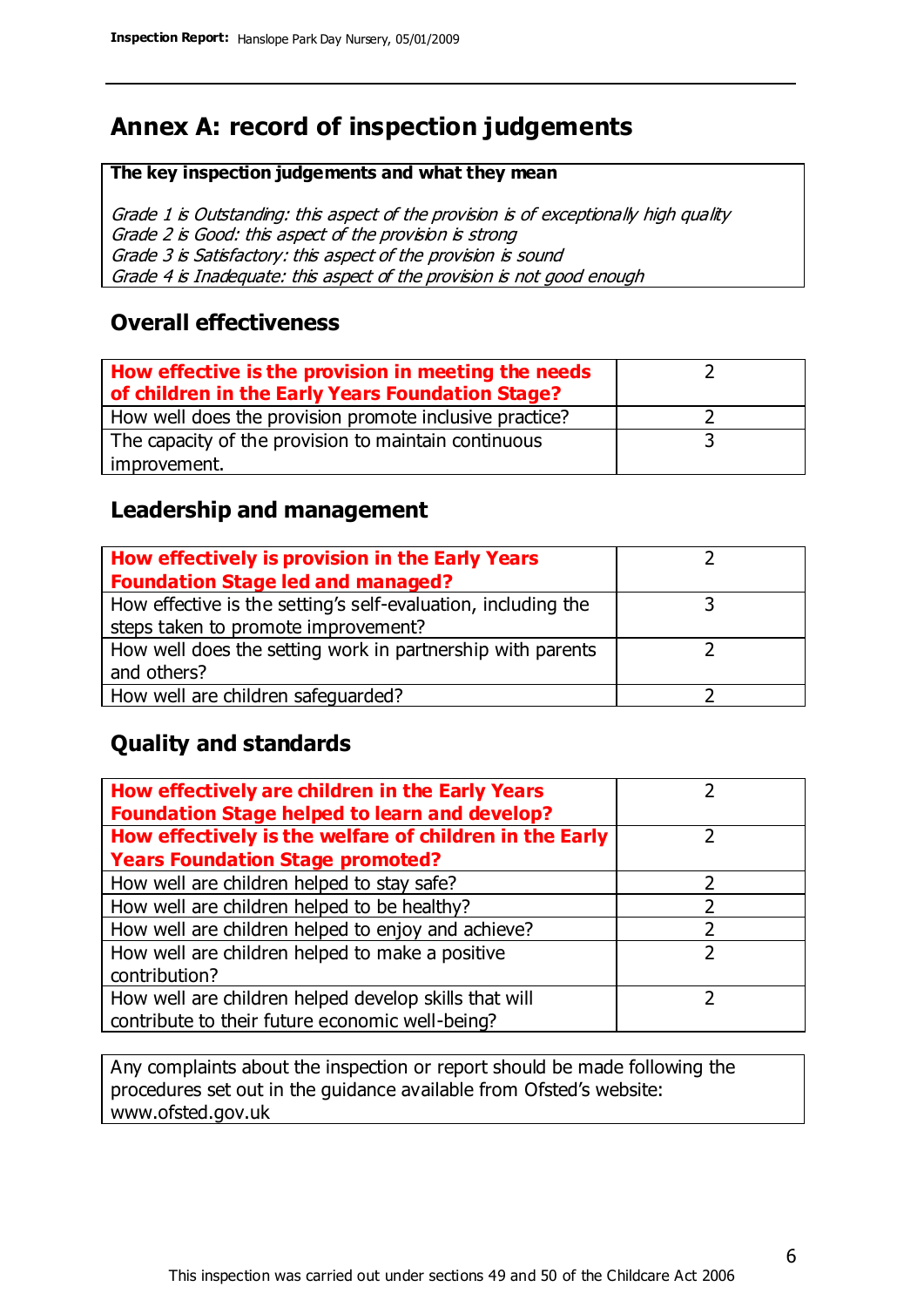# **Annex A: record of inspection judgements**

#### **The key inspection judgements and what they mean**

Grade 1 is Outstanding: this aspect of the provision is of exceptionally high quality Grade 2 is Good: this aspect of the provision is strong Grade 3 is Satisfactory: this aspect of the provision is sound Grade 4 is Inadequate: this aspect of the provision is not good enough

### **Overall effectiveness**

| How effective is the provision in meeting the needs<br>of children in the Early Years Foundation Stage? |  |
|---------------------------------------------------------------------------------------------------------|--|
| How well does the provision promote inclusive practice?                                                 |  |
| The capacity of the provision to maintain continuous                                                    |  |
| improvement.                                                                                            |  |

### **Leadership and management**

| How effectively is provision in the Early Years               |  |
|---------------------------------------------------------------|--|
| <b>Foundation Stage led and managed?</b>                      |  |
| How effective is the setting's self-evaluation, including the |  |
| steps taken to promote improvement?                           |  |
| How well does the setting work in partnership with parents    |  |
| and others?                                                   |  |
| How well are children safequarded?                            |  |

### **Quality and standards**

| How effectively are children in the Early Years<br><b>Foundation Stage helped to learn and develop?</b> |   |
|---------------------------------------------------------------------------------------------------------|---|
| How effectively is the welfare of children in the Early                                                 | ר |
| <b>Years Foundation Stage promoted?</b>                                                                 |   |
| How well are children helped to stay safe?                                                              |   |
| How well are children helped to be healthy?                                                             |   |
| How well are children helped to enjoy and achieve?                                                      |   |
| How well are children helped to make a positive                                                         | 2 |
| contribution?                                                                                           |   |
| How well are children helped develop skills that will                                                   |   |
| contribute to their future economic well-being?                                                         |   |

Any complaints about the inspection or report should be made following the procedures set out in the guidance available from Ofsted's website: www.ofsted.gov.uk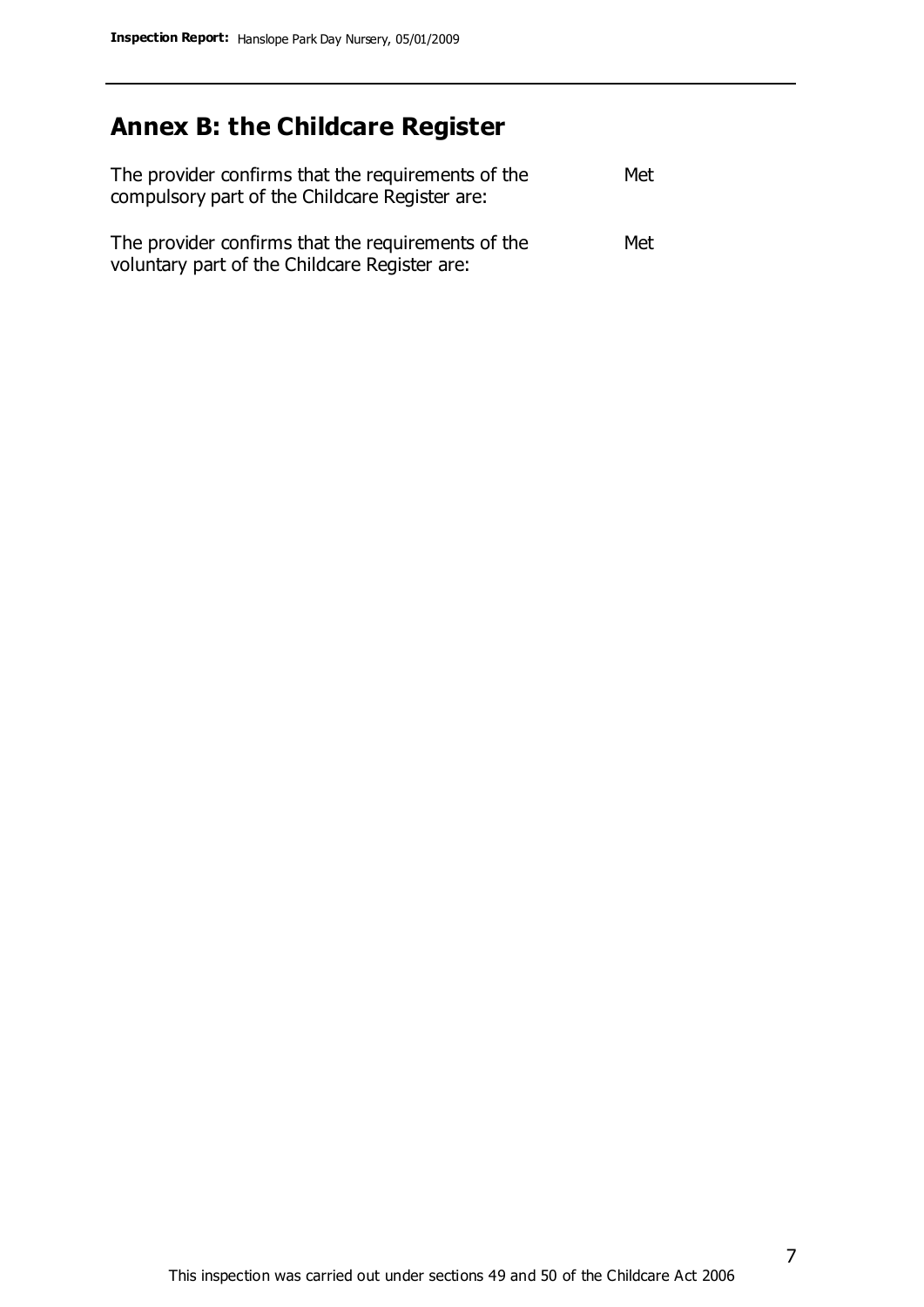# **Annex B: the Childcare Register**

| The provider confirms that the requirements of the<br>compulsory part of the Childcare Register are: | Met |
|------------------------------------------------------------------------------------------------------|-----|
| The provider confirms that the requirements of the<br>voluntary part of the Childcare Register are:  | Met |